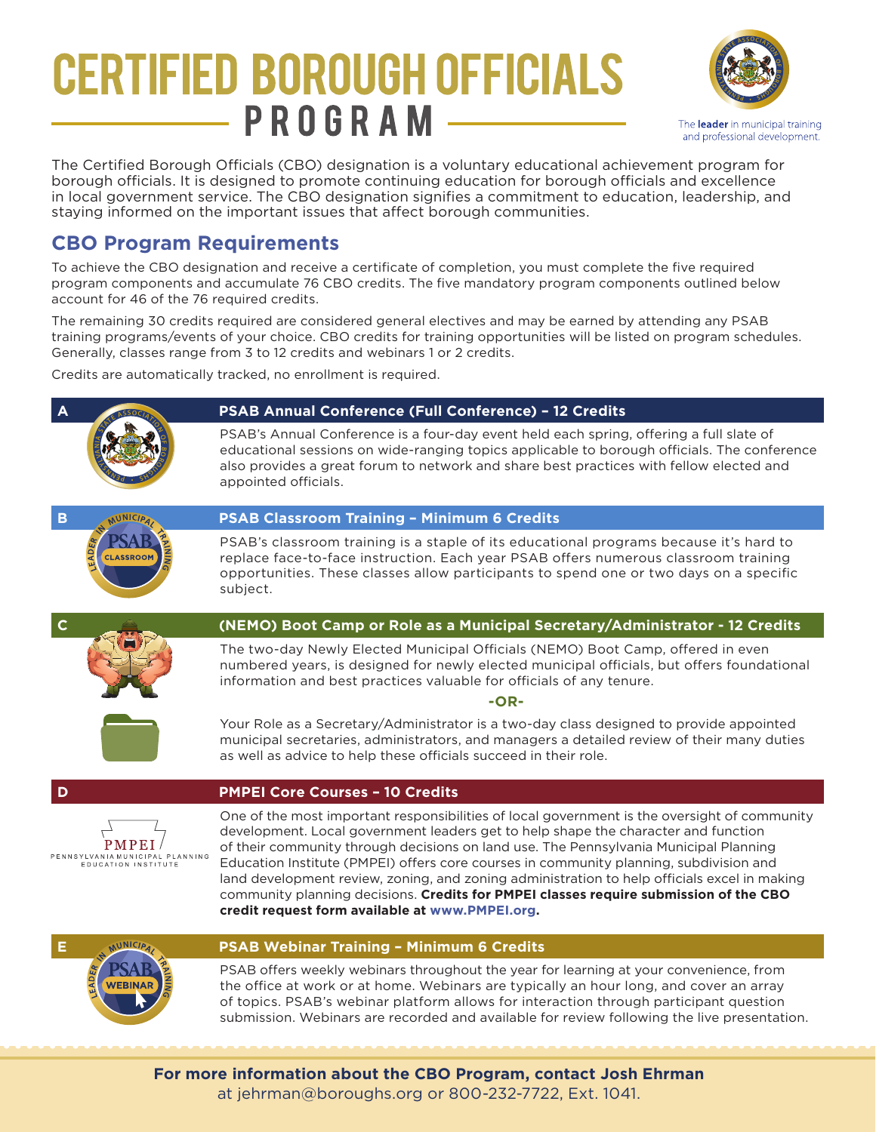## **CERTIFIED BOROUGH OFFICIALS** PROGRAM



The Certified Borough Officials (CBO) designation is a voluntary educational achievement program for borough officials. It is designed to promote continuing education for borough officials and excellence in local government service. The CBO designation signifies a commitment to education, leadership, and staying informed on the important issues that affect borough communities.

## **CBO Program Requirements**

**VEBINAR** 

To achieve the CBO designation and receive a certificate of completion, you must complete the five required program components and accumulate 76 CBO credits. The five mandatory program components outlined below account for 46 of the 76 required credits.

The remaining 30 credits required are considered general electives and may be earned by attending any PSAB training programs/events of your choice. CBO credits for training opportunities will be listed on program schedules. Generally, classes range from 3 to 12 credits and webinars 1 or 2 credits.

Credits are automatically tracked, no enrollment is required.

## **A PSAB Annual Conference (Full Conference) – 12 Credits** READY PSAB's Annual Conference is a four-day event held each spring, offering a full slate of educational sessions on wide-ranging topics applicable to borough officials. The conference also provides a great forum to network and share best practices with fellow elected and appointed officials. **B PSAB Classroom Training - Minimum 6 Credits** PSAB's classroom training is a staple of its educational programs because it's hard to replace face-to-face instruction. Each year PSAB offers numerous classroom training opportunities. These classes allow participants to spend one or two days on a specific subject. **C (NEMO) Boot Camp or Role as a Municipal Secretary/Administrator - 12 Credits** The two-day Newly Elected Municipal Officials (NEMO) Boot Camp, offered in even numbered years, is designed for newly elected municipal officials, but offers foundational information and best practices valuable for officials of any tenure. **-OR-**Your Role as a Secretary/Administrator is a two-day class designed to provide appointed municipal secretaries, administrators, and managers a detailed review of their many duties as well as advice to help these officials succeed in their role. **D PMPEI Core Courses – 10 Credits** One of the most important responsibilities of local government is the oversight of community development. Local government leaders get to help shape the character and function  $PMPEI/$ of their community through decisions on land use. The Pennsylvania Municipal Planning NASYLVANIA MUNICIPAL PLANNING<br>EDUCATION INSTITUTE Education Institute (PMPEI) offers core courses in community planning, subdivision and land development review, zoning, and zoning administration to help officials excel in making community planning decisions. **Credits for PMPEI classes require submission of the CBO credit request form available at www.PMPEI.org. E PSAB Webinar Training – Minimum 6 Credits**

PSAB offers weekly webinars throughout the year for learning at your convenience, from the office at work or at home. Webinars are typically an hour long, and cover an array of topics. PSAB's webinar platform allows for interaction through participant question submission. Webinars are recorded and available for review following the live presentation.